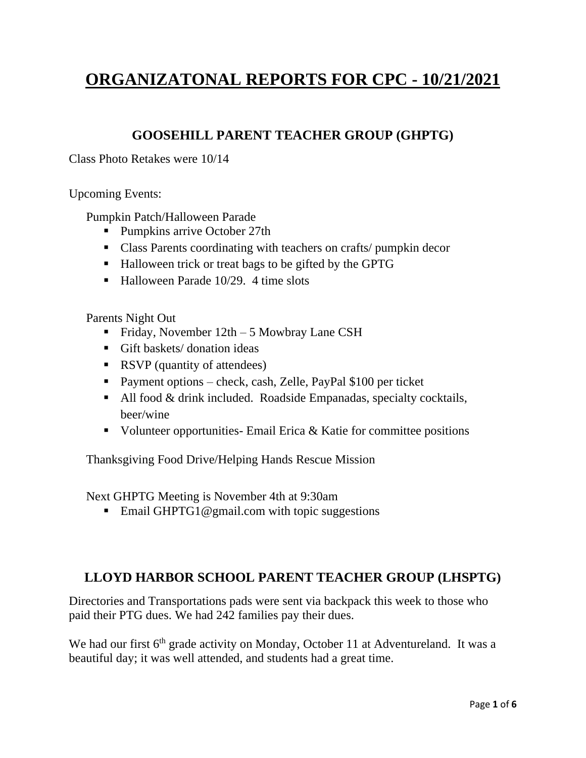# **ORGANIZATONAL REPORTS FOR CPC - 10/21/2021**

#### **GOOSEHILL PARENT TEACHER GROUP (GHPTG)**

Class Photo Retakes were 10/14

Upcoming Events:

Pumpkin Patch/Halloween Parade

- Pumpkins arrive October 27th
- Class Parents coordinating with teachers on crafts/ pumpkin decor
- Halloween trick or treat bags to be gifted by the GPTG
- Halloween Parade 10/29. 4 time slots

Parents Night Out

- Friday, November  $12th 5$  Mowbray Lane CSH
- Gift baskets/ donation ideas
- RSVP (quantity of attendees)
- Payment options check, cash, Zelle, PayPal \$100 per ticket
- $\blacksquare$  All food & drink included. Roadside Empanadas, specialty cocktails, beer/wine
- Volunteer opportunities- Email Erica  $&$  Katie for committee positions

Thanksgiving Food Drive/Helping Hands Rescue Mission

Next GHPTG Meeting is November 4th at 9:30am

■ Email [GHPTG1@gmail.com](mailto:GHPTG1@gmail.com) with topic suggestions

#### **LLOYD HARBOR SCHOOL PARENT TEACHER GROUP (LHSPTG)**

Directories and Transportations pads were sent via backpack this week to those who paid their PTG dues. We had 242 families pay their dues.

We had our first  $6<sup>th</sup>$  grade activity on Monday, October 11 at Adventureland. It was a beautiful day; it was well attended, and students had a great time.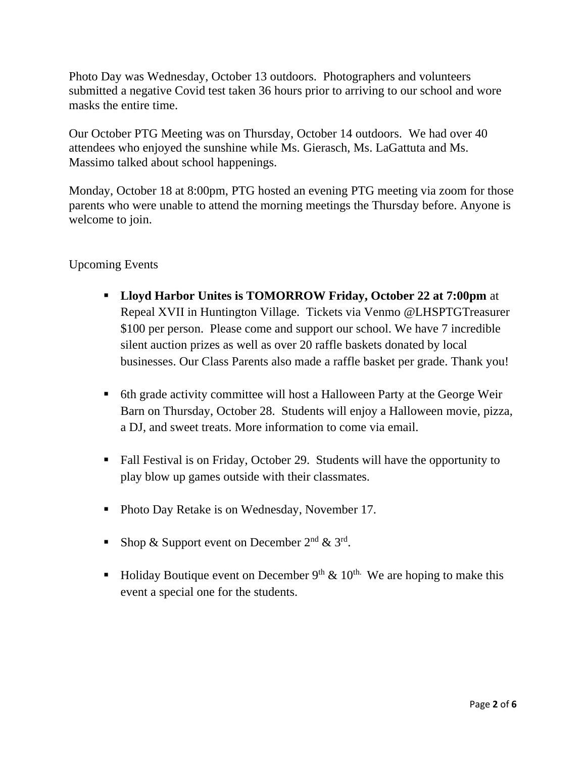Photo Day was Wednesday, October 13 outdoors. Photographers and volunteers submitted a negative Covid test taken 36 hours prior to arriving to our school and wore masks the entire time.

Our October PTG Meeting was on Thursday, October 14 outdoors. We had over 40 attendees who enjoyed the sunshine while Ms. Gierasch, Ms. LaGattuta and Ms. Massimo talked about school happenings.

Monday, October 18 at 8:00pm, PTG hosted an evening PTG meeting via zoom for those parents who were unable to attend the morning meetings the Thursday before. Anyone is welcome to join.

Upcoming Events

- **Lloyd Harbor Unites is TOMORROW Friday, October 22 at 7:00pm** at Repeal XVII in Huntington Village. Tickets via Venmo @LHSPTGTreasurer \$100 per person. Please come and support our school. We have 7 incredible silent auction prizes as well as over 20 raffle baskets donated by local businesses. Our Class Parents also made a raffle basket per grade. Thank you!
- 6th grade activity committee will host a Halloween Party at the George Weir Barn on Thursday, October 28. Students will enjoy a Halloween movie, pizza, a DJ, and sweet treats. More information to come via email.
- Fall Festival is on Friday, October 29. Students will have the opportunity to play blow up games outside with their classmates.
- Photo Day Retake is on Wednesday, November 17.
- Shop & Support event on December  $2<sup>nd</sup>$  &  $3<sup>rd</sup>$ .
- Holiday Boutique event on December  $9<sup>th</sup>$  &  $10<sup>th</sup>$ . We are hoping to make this event a special one for the students.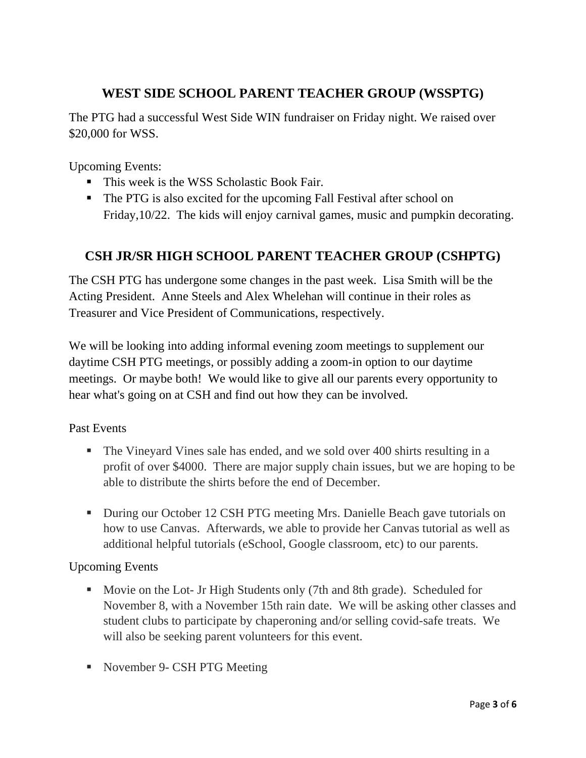## **WEST SIDE SCHOOL PARENT TEACHER GROUP (WSSPTG)**

The PTG had a successful West Side WIN fundraiser on Friday night. We raised over \$20,000 for WSS.

Upcoming Events:

- This week is the WSS Scholastic Book Fair.
- The PTG is also excited for the upcoming Fall Festival after school on Friday,10/22. The kids will enjoy carnival games, music and pumpkin decorating.

## **CSH JR/SR HIGH SCHOOL PARENT TEACHER GROUP (CSHPTG)**

The CSH PTG has undergone some changes in the past week. Lisa Smith will be the Acting President. Anne Steels and Alex Whelehan will continue in their roles as Treasurer and Vice President of Communications, respectively.

We will be looking into adding informal evening zoom meetings to supplement our daytime CSH PTG meetings, or possibly adding a zoom-in option to our daytime meetings. Or maybe both! We would like to give all our parents every opportunity to hear what's going on at CSH and find out how they can be involved.

Past Events

- The Vineyard Vines sale has ended, and we sold over 400 shirts resulting in a profit of over \$4000. There are major supply chain issues, but we are hoping to be able to distribute the shirts before the end of December.
- During our October 12 CSH PTG meeting Mrs. Danielle Beach gave tutorials on how to use Canvas. Afterwards, we able to provide her Canvas tutorial as well as additional helpful tutorials (eSchool, Google classroom, etc) to our parents.

Upcoming Events

- Movie on the Lot- Jr High Students only (7th and 8th grade). Scheduled for November 8, with a November 15th rain date. We will be asking other classes and student clubs to participate by chaperoning and/or selling covid-safe treats. We will also be seeking parent volunteers for this event.
- November 9- CSH PTG Meeting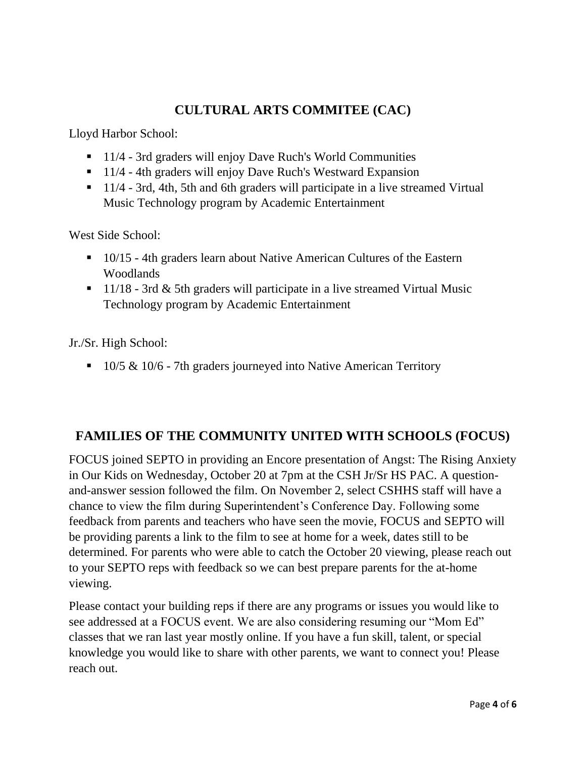## **CULTURAL ARTS COMMITEE (CAC)**

Lloyd Harbor School:

- 11/4 3rd graders will enjoy Dave Ruch's World Communities
- 11/4 4th graders will enjoy Dave Ruch's Westward Expansion
- 11/4 3rd, 4th, 5th and 6th graders will participate in a live streamed Virtual Music Technology program by Academic Entertainment

West Side School:

- 10/15 4th graders learn about Native American Cultures of the Eastern Woodlands
- $\blacksquare$  11/18 3rd & 5th graders will participate in a live streamed Virtual Music Technology program by Academic Entertainment

Jr./Sr. High School:

■ 10/5 & 10/6 - 7th graders journeyed into Native American Territory

## **FAMILIES OF THE COMMUNITY UNITED WITH SCHOOLS (FOCUS)**

FOCUS joined SEPTO in providing an Encore presentation of Angst: The Rising Anxiety in Our Kids on Wednesday, October 20 at 7pm at the CSH Jr/Sr HS PAC. A questionand-answer session followed the film. On November 2, select CSHHS staff will have a chance to view the film during Superintendent's Conference Day. Following some feedback from parents and teachers who have seen the movie, FOCUS and SEPTO will be providing parents a link to the film to see at home for a week, dates still to be determined. For parents who were able to catch the October 20 viewing, please reach out to your SEPTO reps with feedback so we can best prepare parents for the at-home viewing.

Please contact your building reps if there are any programs or issues you would like to see addressed at a FOCUS event. We are also considering resuming our "Mom Ed" classes that we ran last year mostly online. If you have a fun skill, talent, or special knowledge you would like to share with other parents, we want to connect you! Please reach out.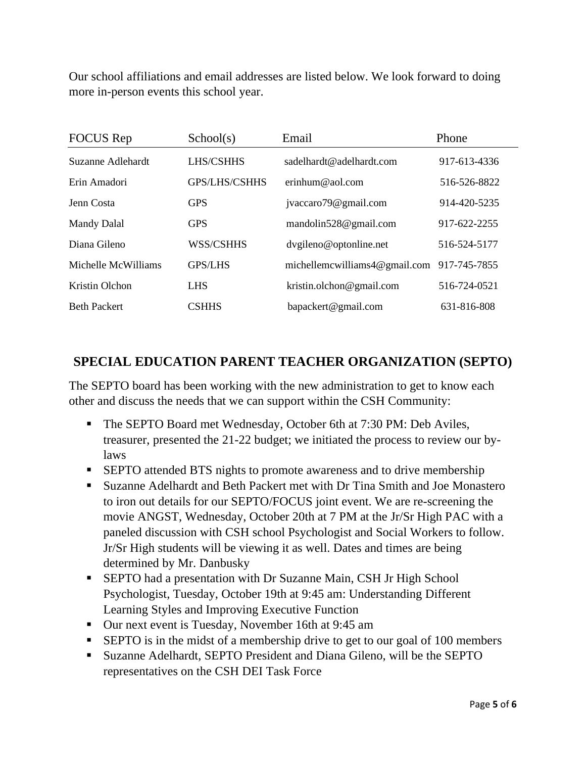Our school affiliations and email addresses are listed below. We look forward to doing more in-person events this school year.

| <b>FOCUS</b> Rep    | School(s)            | Email                             | Phone        |
|---------------------|----------------------|-----------------------------------|--------------|
| Suzanne Adlehardt   | LHS/CSHHS            | sadelhardt@adelhardt.com          | 917-613-4336 |
| Erin Amadori        | <b>GPS/LHS/CSHHS</b> | erinhum@aol.com                   | 516-526-8822 |
| Jenn Costa          | <b>GPS</b>           | jvaccaro79@gmail.com              | 914-420-5235 |
| <b>Mandy Dalal</b>  | <b>GPS</b>           | mandolin528@gmail.com             | 917-622-2255 |
| Diana Gileno        | WSS/CSHHS            | dvgileno@optonline.net            | 516-524-5177 |
| Michelle McWilliams | <b>GPS/LHS</b>       | michellemcwilliams $4@$ gmail.com | 917-745-7855 |
| Kristin Olchon      | <b>LHS</b>           | kristin.olchon@gmail.com          | 516-724-0521 |
| <b>Beth Packert</b> | <b>CSHHS</b>         | bapackert@gmail.com               | 631-816-808  |

## **SPECIAL EDUCATION PARENT TEACHER ORGANIZATION (SEPTO)**

The SEPTO board has been working with the new administration to get to know each other and discuss the needs that we can support within the CSH Community:

- The SEPTO Board met Wednesday, October 6th at 7:30 PM: Deb Aviles, treasurer, presented the 21-22 budget; we initiated the process to review our bylaws
- **EXECUTE:** SEPTO attended BTS nights to promote awareness and to drive membership
- Suzanne Adelhardt and Beth Packert met with Dr Tina Smith and Joe Monastero to iron out details for our SEPTO/FOCUS joint event. We are re-screening the movie ANGST, Wednesday, October 20th at 7 PM at the Jr/Sr High PAC with a paneled discussion with CSH school Psychologist and Social Workers to follow. Jr/Sr High students will be viewing it as well. Dates and times are being determined by Mr. Danbusky
- **EXECT FIGURE 1** SEPTO had a presentation with Dr Suzanne Main, CSH Jr High School Psychologist, Tuesday, October 19th at 9:45 am: Understanding Different Learning Styles and Improving Executive Function
- Our next event is Tuesday, November 16th at 9:45 am
- **EPTO** is in the midst of a membership drive to get to our goal of 100 members
- Suzanne Adelhardt, SEPTO President and Diana Gileno, will be the SEPTO representatives on the CSH DEI Task Force